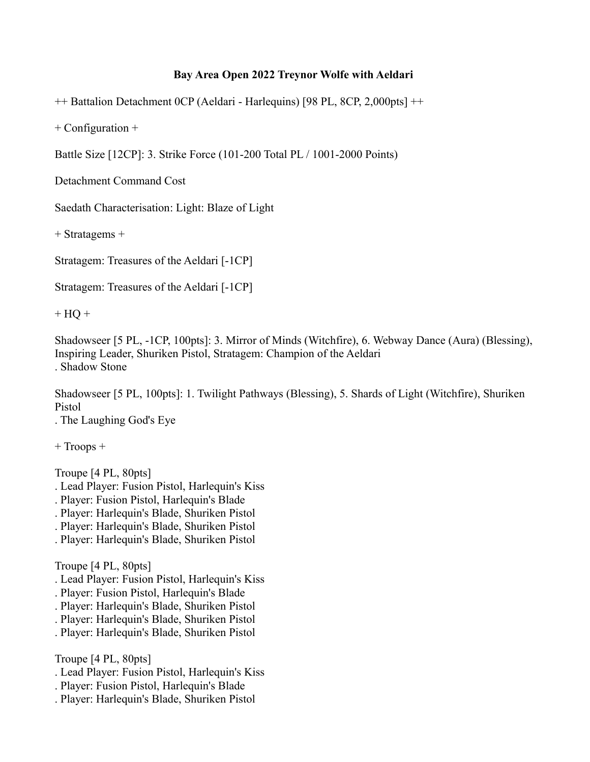## **Bay Area Open 2022 Treynor Wolfe with Aeldari**

++ Battalion Detachment 0CP (Aeldari - Harlequins) [98 PL, 8CP, 2,000pts] ++

+ Configuration +

Battle Size [12CP]: 3. Strike Force (101-200 Total PL / 1001-2000 Points)

Detachment Command Cost

Saedath Characterisation: Light: Blaze of Light

+ Stratagems +

Stratagem: Treasures of the Aeldari [-1CP]

Stratagem: Treasures of the Aeldari [-1CP]

 $+ HO +$ 

Shadowseer [5 PL, -1CP, 100pts]: 3. Mirror of Minds (Witchfire), 6. Webway Dance (Aura) (Blessing), Inspiring Leader, Shuriken Pistol, Stratagem: Champion of the Aeldari . Shadow Stone

Shadowseer [5 PL, 100pts]: 1. Twilight Pathways (Blessing), 5. Shards of Light (Witchfire), Shuriken Pistol

. The Laughing God's Eye

+ Troops +

Troupe [4 PL, 80pts]

- . Lead Player: Fusion Pistol, Harlequin's Kiss
- . Player: Fusion Pistol, Harlequin's Blade
- . Player: Harlequin's Blade, Shuriken Pistol
- . Player: Harlequin's Blade, Shuriken Pistol
- . Player: Harlequin's Blade, Shuriken Pistol

Troupe [4 PL, 80pts]

- . Lead Player: Fusion Pistol, Harlequin's Kiss
- . Player: Fusion Pistol, Harlequin's Blade
- . Player: Harlequin's Blade, Shuriken Pistol
- . Player: Harlequin's Blade, Shuriken Pistol
- . Player: Harlequin's Blade, Shuriken Pistol

Troupe [4 PL, 80pts]

- . Lead Player: Fusion Pistol, Harlequin's Kiss
- . Player: Fusion Pistol, Harlequin's Blade
- . Player: Harlequin's Blade, Shuriken Pistol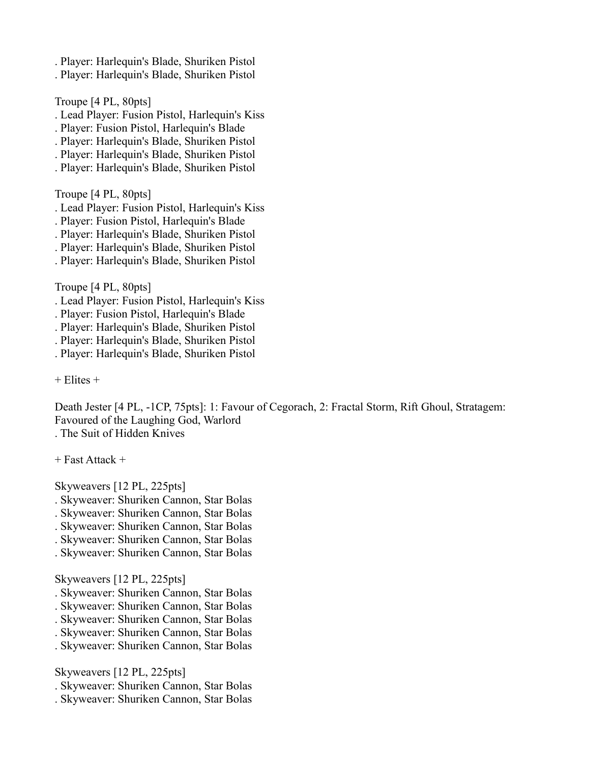- . Player: Harlequin's Blade, Shuriken Pistol
- . Player: Harlequin's Blade, Shuriken Pistol

Troupe [4 PL, 80pts]

- . Lead Player: Fusion Pistol, Harlequin's Kiss
- . Player: Fusion Pistol, Harlequin's Blade
- . Player: Harlequin's Blade, Shuriken Pistol
- . Player: Harlequin's Blade, Shuriken Pistol
- . Player: Harlequin's Blade, Shuriken Pistol

Troupe [4 PL, 80pts]

- . Lead Player: Fusion Pistol, Harlequin's Kiss
- . Player: Fusion Pistol, Harlequin's Blade
- . Player: Harlequin's Blade, Shuriken Pistol
- . Player: Harlequin's Blade, Shuriken Pistol
- . Player: Harlequin's Blade, Shuriken Pistol

Troupe [4 PL, 80pts]

- . Lead Player: Fusion Pistol, Harlequin's Kiss
- . Player: Fusion Pistol, Harlequin's Blade
- . Player: Harlequin's Blade, Shuriken Pistol
- . Player: Harlequin's Blade, Shuriken Pistol
- . Player: Harlequin's Blade, Shuriken Pistol

+ Elites +

Death Jester [4 PL, -1CP, 75pts]: 1: Favour of Cegorach, 2: Fractal Storm, Rift Ghoul, Stratagem: Favoured of the Laughing God, Warlord . The Suit of Hidden Knives

+ Fast Attack +

Skyweavers [12 PL, 225pts]

- . Skyweaver: Shuriken Cannon, Star Bolas
- . Skyweaver: Shuriken Cannon, Star Bolas
- . Skyweaver: Shuriken Cannon, Star Bolas
- . Skyweaver: Shuriken Cannon, Star Bolas
- . Skyweaver: Shuriken Cannon, Star Bolas

Skyweavers [12 PL, 225pts]

- . Skyweaver: Shuriken Cannon, Star Bolas
- . Skyweaver: Shuriken Cannon, Star Bolas
- . Skyweaver: Shuriken Cannon, Star Bolas
- . Skyweaver: Shuriken Cannon, Star Bolas
- . Skyweaver: Shuriken Cannon, Star Bolas

Skyweavers [12 PL, 225pts]

- . Skyweaver: Shuriken Cannon, Star Bolas
- . Skyweaver: Shuriken Cannon, Star Bolas